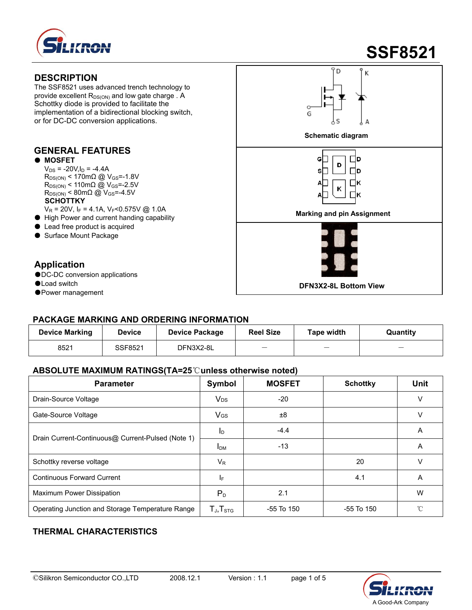

# **SSF8521**

#### **DESCRIPTION**

The SSF8521 uses advanced trench technology to provide excellent  $R_{DS(ON)}$  and low gate charge . A Schottky diode is provided to facilitate the implementation of a bidirectional blocking switch, or for DC-DC conversion applications.

### **GENERAL FEATURES**

#### ● **MOSFET**

- $V_{DS}$  = -20V,  $I_D$  = -4.4A  $R_{DS(ON)}$  < 170m $\Omega$  @ V<sub>GS</sub>=-1.8V  $R_{DS(ON)}$  < 110m $\Omega$  @ V<sub>GS</sub>=-2.5V  $R_{DS(ON)}$  < 80m $\Omega$  @ V<sub>GS</sub>=-4.5V **SCHOTTKY**<br>V<sub>R</sub> = 20V, I<sub>F</sub> = 4.1A, V<sub>F</sub><0.575V @ 1.0A
- 
- 
- Lead free product is acquired
- Surface Mount Package

#### **Application**

- ●DC-DC conversion applications
- 
- ●Power management

## D Κ **Schematic diagram**  G∏ Пp D s∏ Пp A⊡ Πĸ K Δ Пĸ VR = 20V, IF = 4.1A, VF 0.575V @ 1.0A<br>● High Power and current handing capability **● Marking and pin Assignment**

## ●Load switch **DFN3X2-8L Bottom View**

#### **PACKAGE MARKING AND ORDERING INFORMATION**

| <b>Device Marking</b> | <b>Device</b> | <b>Device Package</b> | <b>Reel Size</b> | Tape width | Quantity |
|-----------------------|---------------|-----------------------|------------------|------------|----------|
| 8521                  | SSF8521       | DFN3X2-8L             |                  |            | _        |

#### **ABSOLUTE MAXIMUM RATINGS(TA=25**℃**unless otherwise noted)**

| <b>Parameter</b>                                  | Symbol                                               | <b>MOSFET</b> | <b>Schottky</b> | <b>Unit</b> |
|---------------------------------------------------|------------------------------------------------------|---------------|-----------------|-------------|
| Drain-Source Voltage                              | <b>V<sub>DS</sub></b>                                | $-20$         |                 | ν           |
| Gate-Source Voltage                               | VGS                                                  | ±8            |                 | ν           |
|                                                   | I <sub>D</sub>                                       | $-4.4$        |                 | A           |
| Drain Current-Continuous@ Current-Pulsed (Note 1) | I <sub>DM</sub>                                      | $-13$         |                 | A           |
| Schottky reverse voltage                          | $V_{R}$                                              |               | 20              | ν           |
| <b>Continuous Forward Current</b>                 | IF.                                                  |               | 4.1             | Α           |
| Maximum Power Dissipation                         | $P_{D}$                                              | 2.1           |                 | W           |
| Operating Junction and Storage Temperature Range  | $\mathsf{T}_{\mathsf{J}}, \mathsf{T}_{\textsf{STG}}$ | -55 To 150    | -55 To 150      | °C          |

### **THERMAL CHARACTERISTICS**

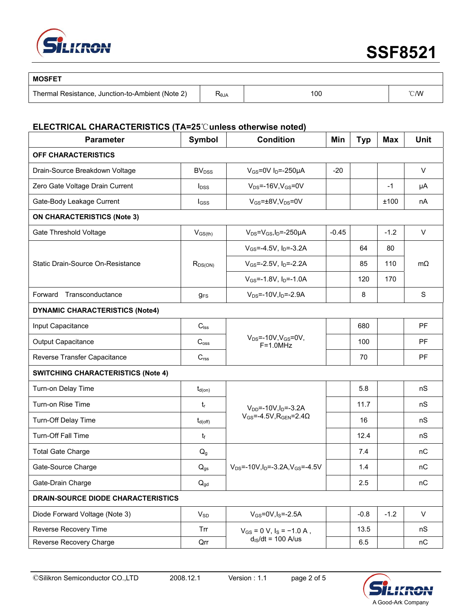

| <b>MOSFET</b>                                    |                |     |                |
|--------------------------------------------------|----------------|-----|----------------|
| Thermal Resistance, Junction-to-Ambient (Note 2) | $R_{\theta$ JA | 100 | $^{\circ}$ C/W |

#### **ELECTRICAL CHARACTERISTICS (TA=25**℃**unless otherwise noted)**

| <b>Parameter</b>                          | Symbol                   | <b>Condition</b>                                              | Min     | <b>Typ</b> | <b>Max</b> | <b>Unit</b>  |  |
|-------------------------------------------|--------------------------|---------------------------------------------------------------|---------|------------|------------|--------------|--|
| OFF CHARACTERISTICS                       |                          |                                                               |         |            |            |              |  |
| Drain-Source Breakdown Voltage            | <b>BV</b> <sub>DSS</sub> | $V_{GS}$ =0V I <sub>D</sub> =-250µA                           | $-20$   |            |            | $\vee$       |  |
| Zero Gate Voltage Drain Current           | $I_{DSS}$                | $V_{DS}$ =-16V, $V_{GS}$ =0V                                  |         |            | $-1$       | μA           |  |
| Gate-Body Leakage Current                 | lgss                     | $V_{GS} = \pm 8V, V_{DS} = 0V$                                |         |            | ±100       | nA           |  |
| <b>ON CHARACTERISTICS (Note 3)</b>        |                          |                                                               |         |            |            |              |  |
| <b>Gate Threshold Voltage</b>             | $V_{GS(th)}$             | $V_{DS} = V_{GS}I_D = -250\mu A$                              | $-0.45$ |            | $-1.2$     | $\mathsf{V}$ |  |
|                                           |                          | $V_{GS} = -4.5V$ , $I_D = -3.2A$                              |         | 64         | 80         |              |  |
| Static Drain-Source On-Resistance         | $R_{DS(ON)}$             | $V_{GS}$ =-2.5V, $I_D$ =-2.2A                                 |         | 85         | 110        | $m\Omega$    |  |
|                                           |                          | $V_{GS}$ =-1.8V, $I_D$ =-1.0A                                 |         | 120        | 170        |              |  |
| Transconductance<br>Forward               | $g_{FS}$                 | $V_{DS}$ =-10V, $I_D$ =-2.9A                                  |         | 8          |            | S            |  |
| <b>DYNAMIC CHARACTERISTICS (Note4)</b>    |                          |                                                               |         |            |            |              |  |
| Input Capacitance                         | $C_{\text{lss}}$         |                                                               |         | 680        |            | PF           |  |
| <b>Output Capacitance</b>                 | C <sub>oss</sub>         | $V_{DS} = -10V, V_{GS} = 0V,$<br>$F=1.0MHz$                   |         | 100        |            | PF           |  |
| Reverse Transfer Capacitance              | C <sub>rss</sub>         |                                                               |         | 70         |            | PF           |  |
| <b>SWITCHING CHARACTERISTICS (Note 4)</b> |                          |                                                               |         |            |            |              |  |
| Turn-on Delay Time                        | $t_{d(on)}$              |                                                               |         | 5.8        |            | nS           |  |
| Turn-on Rise Time                         | $t_{\sf r}$              | $V_{DD}$ =-10V, $I_D$ =-3.2A                                  |         | 11.7       |            | nS           |  |
| Turn-Off Delay Time                       | $t_{d(\text{off})}$      | $V_{GS}$ =-4.5V, R <sub>GEN</sub> =2.4 $\Omega$               |         | 16         |            | nS           |  |
| Turn-Off Fall Time                        | $t_{\rm f}$              |                                                               |         | 12.4       |            | nS           |  |
| <b>Total Gate Charge</b>                  | $Q_g$                    |                                                               |         | 7.4        |            | nC           |  |
| Gate-Source Charge                        | $Q_{gs}$                 | $V_{DS}$ =-10V, I <sub>D</sub> =-3.2A, V <sub>GS</sub> =-4.5V |         | 1.4        |            | nC           |  |
| Gate-Drain Charge                         | $Q_{gd}$                 |                                                               |         | 2.5        |            | nC           |  |
| DRAIN-SOURCE DIODE CHARACTERISTICS        |                          |                                                               |         |            |            |              |  |
| Diode Forward Voltage (Note 3)            | $V_{SD}$                 | $V_{GS} = 0V, I_S = -2.5A$                                    |         | $-0.8$     | $-1.2$     | V            |  |
| Reverse Recovery Time                     | Trr                      | $V_{GS}$ = 0 V, $I_S$ = -1.0 A,                               |         | 13.5       |            | nS           |  |
| Reverse Recovery Charge                   | Qrr                      | $d_{\text{IS}}/dt = 100$ A/us                                 |         | 6.5        |            | nC           |  |

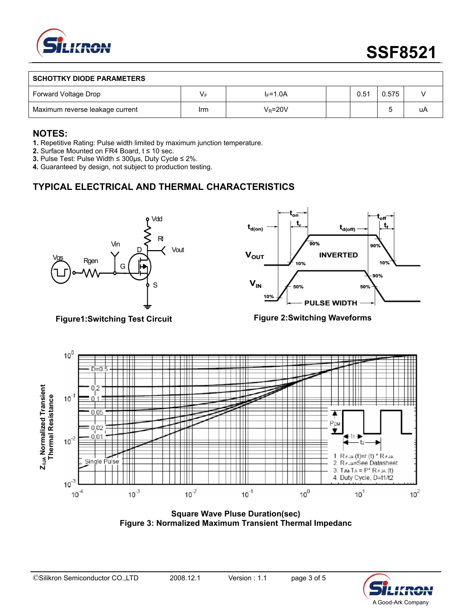

#### **SCHOTTKY DIODE PARAMETERS**

| Forward Voltage Drop            | vι  | l⊧=1.0A    | 0.51 | 0.575 |    |
|---------------------------------|-----|------------|------|-------|----|
| Maximum reverse leakage current | Irm | $V_R$ =20V |      |       | uΑ |

#### **NOTES:**

**1.** Repetitive Rating: Pulse width limited by maximum junction temperature.

**2.** Surface Mounted on FR4 Board, t ≤ 10 sec.

**3.** Pulse Test: Pulse Width ≤ 300μs, Duty Cycle ≤ 2%.

**4.** Guaranteed by design, not subject to production testing.

## **TYPICAL ELECTRICAL AND THERMAL CHARACTERISTICS**



**Figure1:Switching Test Circuit** 



#### **Figure 2:Switching Waveforms**



**Square Wave Pluse Duration(sec) Figure 3: Normalized Maximum Transient Thermal Impedanc**

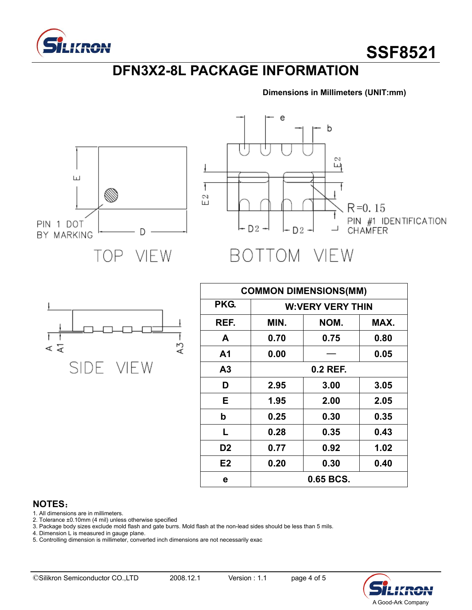

## **DFN3X2-8L PACKAGE INFORMATION**

e

**Dimensions in Millimeters (UNIT:mm)**





Ŧ Ť Α3  $\leqslant$ **SIDE** VIEW

| <b>COMMON DIMENSIONS(MM)</b> |                         |      |      |  |  |
|------------------------------|-------------------------|------|------|--|--|
| PKG.                         | <b>W:VERY VERY THIN</b> |      |      |  |  |
| REF.                         | MIN.                    | NOM. | MAX. |  |  |
| A                            | 0.70                    | 0.75 | 0.80 |  |  |
| A <sub>1</sub>               | 0.00                    |      | 0.05 |  |  |
| A <sub>3</sub>               | 0.2 REF.                |      |      |  |  |
| D                            | 2.95                    | 3.00 | 3.05 |  |  |
| Е                            | 1.95                    | 2.00 | 2.05 |  |  |
| b                            | 0.25                    | 0.30 | 0.35 |  |  |
| L                            | 0.28                    | 0.35 | 0.43 |  |  |
| D <sub>2</sub>               | 0.77                    | 0.92 | 1.02 |  |  |
| E <sub>2</sub>               | 0.20                    | 0.30 | 0.40 |  |  |
| е                            | 0.65 BCS.               |      |      |  |  |

#### **NOTES**:

1. All dimensions are in millimeters.

2. Tolerance ±0.10mm (4 mil) unless otherwise specified

3. Package body sizes exclude mold flash and gate burrs. Mold flash at the non-lead sides should be less than 5 mils.

4. Dimension L is measured in gauge plane.

5. Controlling dimension is millimeter, converted inch dimensions are not necessarily exac